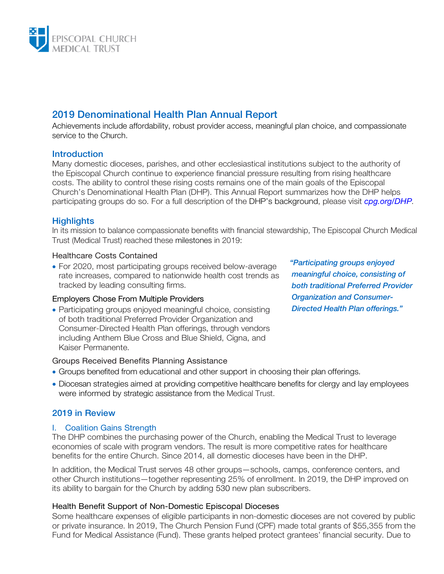

# 2019 Denominational Health Plan Annual Report

Achievements include affordability, robust provider access, meaningful plan choice, and compassionate service to the Church.

# **Introduction**

Many domestic dioceses, parishes, and other ecclesiastical institutions subject to the authority of the Episcopal Church continue to experience financial pressure resulting from rising healthcare costs. The ability to control these rising costs remains one of the main goals of the Episcopal Church's Denominational Health Plan (DHP). This Annual Report summarizes how the DHP helps participating groups do so. For a full description of the DHP's background, please visit *[cpg.org/DHP](www.cpg.org/DHP).*

# **Highlights**

In its mission to balance compassionate benefits with financial stewardship, The Episcopal Church Medical Trust (Medical Trust) reached these milestones in 2019:

#### Healthcare Costs Contained

• For 2020, most participating groups received below-average rate increases, compared to nationwide health cost trends as tracked by leading consulting firms.

## Employers Chose From Multiple Providers

• Participating groups enjoyed meaningful choice, consisting of both traditional Preferred Provider Organization and Consumer-Directed Health Plan offerings, through vendors including Anthem Blue Cross and Blue Shield, Cigna, and Kaiser Permanente.

*"Participating groups enjoyed meaningful choice, consisting of both traditional Preferred Provider Organization and Consumer-Directed Health Plan offerings."*

## Groups Received Benefits Planning Assistance

- Groups benefited from educational and other support in choosing their plan offerings.
- Diocesan strategies aimed at providing competitive healthcare benefits for clergy and lay employees were informed by strategic assistance from the Medical Trust.

## 2019 in Review

#### I. Coalition Gains Strength

The DHP combines the purchasing power of the Church, enabling the Medical Trust to leverage economies of scale with program vendors. The result is more competitive rates for healthcare benefits for the entire Church. Since 2014, all domestic dioceses have been in the DHP.

In addition, the Medical Trust serves 48 other groups—schools, camps, conference centers, and other Church institutions—together representing 25% of enrollment. In 2019, the DHP improved on its ability to bargain for the Church by adding 530 new plan subscribers.

## Health Benefit Support of Non-Domestic Episcopal Dioceses

Some healthcare expenses of eligible participants in non-domestic dioceses are not covered by public or private insurance. In 2019, The Church Pension Fund (CPF) made total grants of \$55,355 from the Fund for Medical Assistance (Fund). These grants helped protect grantees' financial security. Due to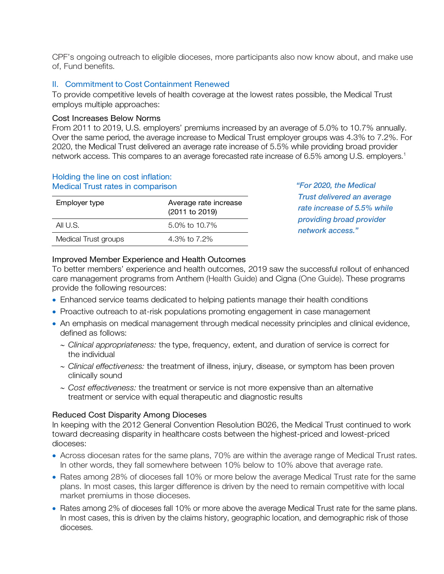CPF's ongoing outreach to eligible dioceses, more participants also now know about, and make use of, Fund benefits.

#### II. Commitment to Cost Containment Renewed

To provide competitive levels of health coverage at the lowest rates possible, the Medical Trust employs multiple approaches:

#### Cost Increases Below Norms

Holding the line on cost inflation:

From 2011 to 2019, U.S. employers' premiums increased by an average of 5.0% to 10.7% annually. Over the same period, the average increase to Medical Trust employer groups was 4.3% to 7.2%. For 2020, the Medical Trust delivered an average rate increase of 5.5% while providing broad provider network access. This compares to an average forecasted rate increase of 6.5% among U.S. employers. 1

| Medical Trust rates in comparison |                                         |
|-----------------------------------|-----------------------------------------|
| Employer type                     | Average rate increase<br>(2011 to 2019) |
| AII U.S.                          | 5.0% to 10.7%                           |
| Medical Trust groups              | 4.3% to 7.2%                            |

*"For 2020, the Medical Trust delivered an average rate increase of 5.5% while providing broad provider network access."* 

#### Improved Member Experience and Health Outcomes

To better members' experience and health outcomes, 2019 saw the successful rollout of enhanced care management programs from Anthem (Health Guide) and Cigna (One Guide). These programs provide the following resources:

- Enhanced service teams dedicated to helping patients manage their health conditions
- Proactive outreach to at-risk populations promoting engagement in case management
- An emphasis on medical management through medical necessity principles and clinical evidence, defined as follows:
	- ~ *Clinical appropriateness:* the type, frequency, extent, and duration of service is correct for the individual
	- ~ *Clinical effectiveness:* the treatment of illness, injury, disease, or symptom has been proven clinically sound
	- ~ *Cost effectiveness:* the treatment or service is not more expensive than an alternative treatment or service with equal therapeutic and diagnostic results

## Reduced Cost Disparity Among Dioceses

In keeping with the 2012 General Convention Resolution B026, the Medical Trust continued to work toward decreasing disparity in healthcare costs between the highest-priced and lowest-priced dioceses:

- Across diocesan rates for the same plans, 70% are within the average range of Medical Trust rates. In other words, they fall somewhere between 10% below to 10% above that average rate.
- Rates among 28% of dioceses fall 10% or more below the average Medical Trust rate for the same plans. In most cases, this larger difference is driven by the need to remain competitive with local market premiums in those dioceses.
- Rates among 2% of dioceses fall 10% or more above the average Medical Trust rate for the same plans. In most cases, this is driven by the claims history, geographic location, and demographic risk of those dioceses.